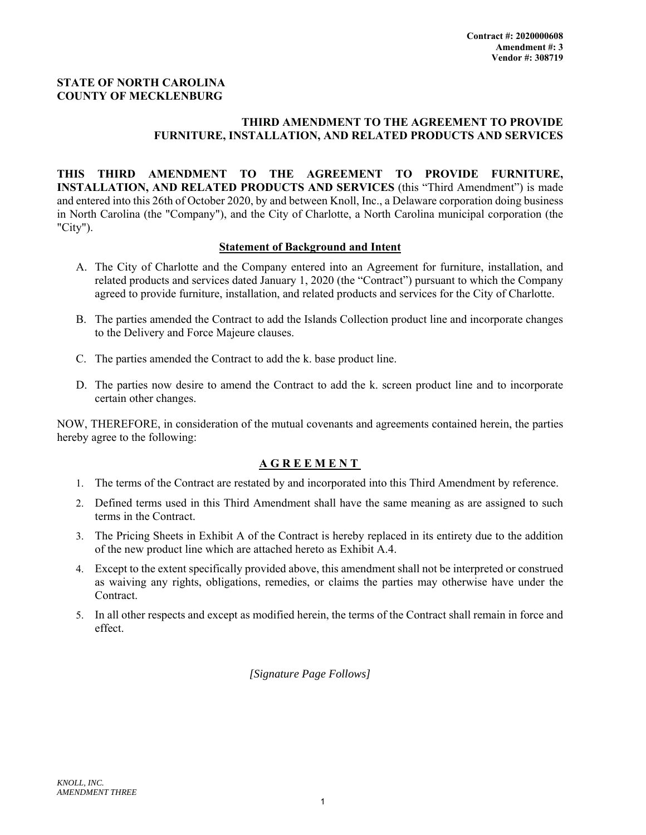#### **STATE OF NORTH CAROLINA COUNTY OF MECKLENBURG**

### **THIRD AMENDMENT TO THE AGREEMENT TO PROVIDE FURNITURE, INSTALLATION, AND RELATED PRODUCTS AND SERVICES**

**THIS THIRD AMENDMENT TO THE AGREEMENT TO PROVIDE FURNITURE, INSTALLATION, AND RELATED PRODUCTS AND SERVICES** (this "Third Amendment") is made and entered into this 26th of October 2020, by and between Knoll, Inc., a Delaware corporation doing business in North Carolina (the "Company"), and the City of Charlotte, a North Carolina municipal corporation (the "City").

#### **Statement of Background and Intent**

- A. The City of Charlotte and the Company entered into an Agreement for furniture, installation, and related products and services dated January 1, 2020 (the "Contract") pursuant to which the Company agreed to provide furniture, installation, and related products and services for the City of Charlotte.
- B. The parties amended the Contract to add the Islands Collection product line and incorporate changes to the Delivery and Force Majeure clauses.
- C. The parties amended the Contract to add the k. base product line.
- D. The parties now desire to amend the Contract to add the k. screen product line and to incorporate certain other changes.

NOW, THEREFORE, in consideration of the mutual covenants and agreements contained herein, the parties hereby agree to the following:

## **AGREEMEN T**

- 1. The terms of the Contract are restated by and incorporated into this Third Amendment by reference.
- 2. Defined terms used in this Third Amendment shall have the same meaning as are assigned to such terms in the Contract.
- 3. The Pricing Sheets in Exhibit A of the Contract is hereby replaced in its entirety due to the addition of the new product line which are attached hereto as Exhibit A.4.
- 4. Except to the extent specifically provided above, this amendment shall not be interpreted or construed as waiving any rights, obligations, remedies, or claims the parties may otherwise have under the Contract.
- 5. In all other respects and except as modified herein, the terms of the Contract shall remain in force and effect.

*[Signature Page Follows]*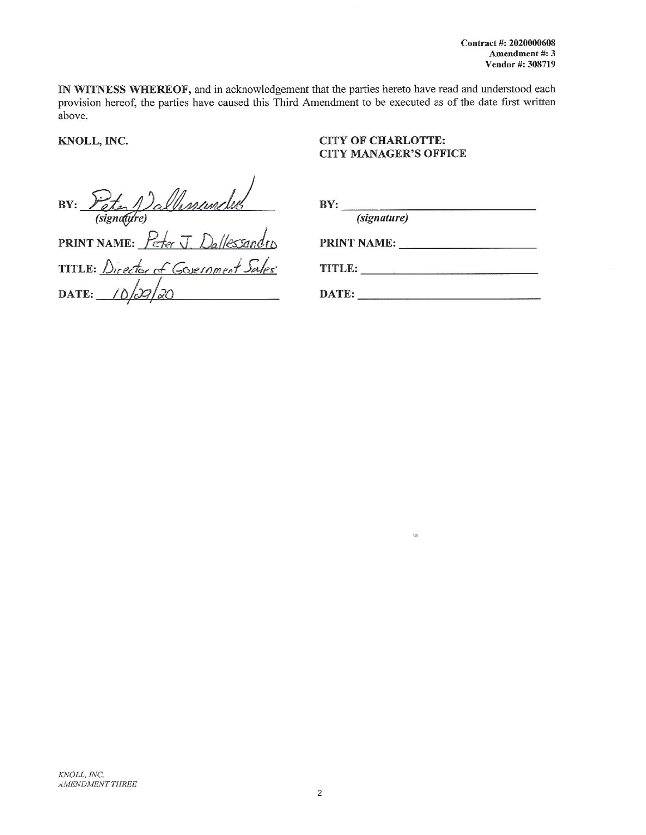IN WITNESS WHEREOF, and in acknowledgement that the parties hereto have read and understood each provision hereof, the parties have caused this Third Amendment to be executed as of the date first written above.

#### KNOLL, INC.

## **CITY OF CHARLOTTE: CITY MANAGER'S OFFICE**

BY: Peter Dallemendus<br>(signature)<br>PRINT NAME: Peter J. Dallessandro

 $BY:$  (signature) PRINT NAME:

| TITLE: Director of Government Sales |
|-------------------------------------|
|                                     |
| DATE: $10/27/20$                    |

| TITLE: |  |
|--------|--|
|        |  |

tat.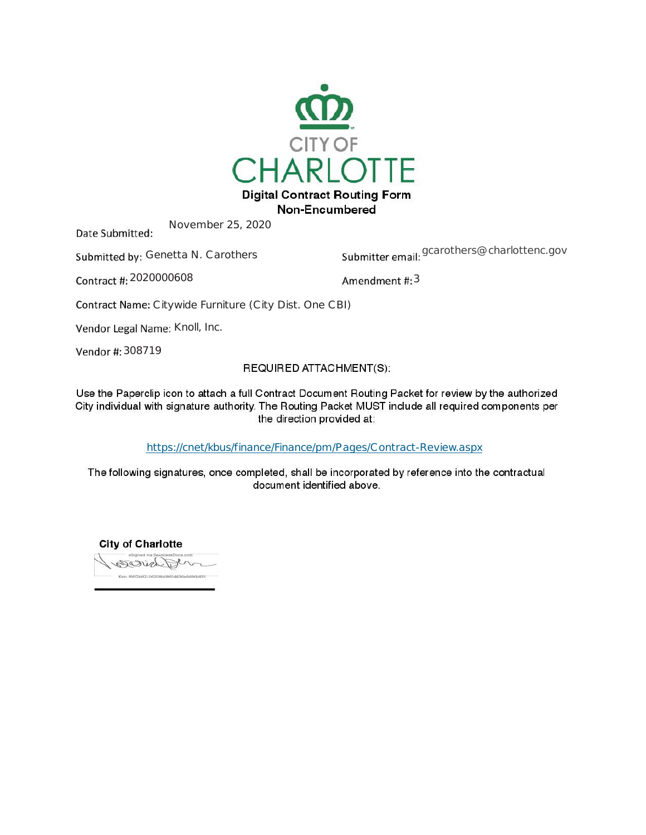

Non-Encumbered

November 25, 2020 Date Submitted:

Submitted by: Genetta N. Carothers

Submitter email: <sup>gcarothers@charlottenc.gov</sup>

Contract #: 2020000608

Amendment #: 3

Contract Name: Citywide Furniture (City Dist. One CBI)

Vendor Legal Name: Knoll, Inc.

Vendor #: 308719

### **REQUIRED ATTACHMENT(S):**

Use the Paperclip icon to attach a full Contract Document Routing Packet for review by the authorized City individual with signature authority. The Routing Packet MUST include all required components per the direction provided at:

https://cnet/kbus/finance/Finance/pm/Pages/Contract-Review.aspx

The following signatures, once completed, shall be incorporated by reference into the contractual document identified above.

**City of Charlotte** esigned via SeanleesDocs.com **CAV: PROTHETI DISORHORROARSA ANDERININI**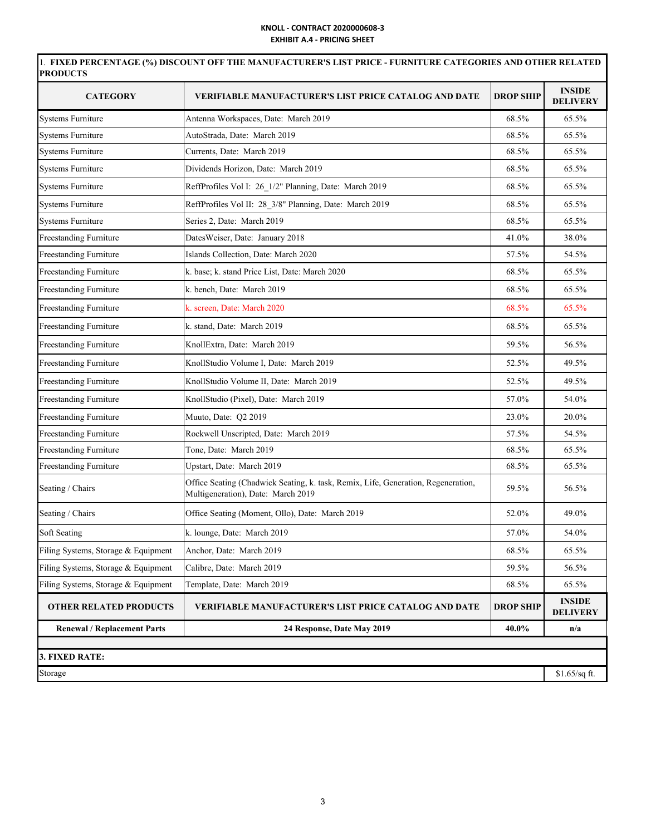#### **KNOLL ‐ CONTRACT 2020000608‐3 EXHIBIT A.4 ‐ PRICING SHEET**

| <b>CATEGORY</b>                     | <b>VERIFIABLE MANUFACTURER'S LIST PRICE CATALOG AND DATE</b>                                                            | <b>DROP SHIP</b> | <b>INSIDE</b><br><b>DELIVERY</b> |
|-------------------------------------|-------------------------------------------------------------------------------------------------------------------------|------------------|----------------------------------|
| <b>Systems Furniture</b>            | Antenna Workspaces, Date: March 2019                                                                                    | 68.5%            | 65.5%                            |
| <b>Systems Furniture</b>            | AutoStrada, Date: March 2019                                                                                            | 68.5%            | 65.5%                            |
| <b>Systems Furniture</b>            | Currents, Date: March 2019                                                                                              | 68.5%            | 65.5%                            |
| <b>Systems Furniture</b>            | Dividends Horizon, Date: March 2019                                                                                     | 68.5%            | 65.5%                            |
| <b>Systems Furniture</b>            | ReffProfiles Vol I: 26_1/2" Planning, Date: March 2019                                                                  | 68.5%            | 65.5%                            |
| <b>Systems Furniture</b>            | ReffProfiles Vol II: 28_3/8" Planning, Date: March 2019                                                                 | 68.5%            | 65.5%                            |
| <b>Systems Furniture</b>            | Series 2, Date: March 2019                                                                                              | 68.5%            | 65.5%                            |
| Freestanding Furniture              | DatesWeiser, Date: January 2018                                                                                         | 41.0%            | 38.0%                            |
| Freestanding Furniture              | Islands Collection, Date: March 2020                                                                                    | 57.5%            | 54.5%                            |
| Freestanding Furniture              | k. base; k. stand Price List, Date: March 2020                                                                          | 68.5%            | 65.5%                            |
| Freestanding Furniture              | k. bench, Date: March 2019                                                                                              | 68.5%            | 65.5%                            |
| <b>Freestanding Furniture</b>       | k. screen, Date: March 2020                                                                                             | 68.5%            | 65.5%                            |
| Freestanding Furniture              | k. stand, Date: March 2019                                                                                              | 68.5%            | 65.5%                            |
| <b>Freestanding Furniture</b>       | KnollExtra, Date: March 2019                                                                                            | 59.5%            | 56.5%                            |
| Freestanding Furniture              | KnollStudio Volume I, Date: March 2019                                                                                  | 52.5%            | 49.5%                            |
| <b>Freestanding Furniture</b>       | KnollStudio Volume II, Date: March 2019                                                                                 | 52.5%            | 49.5%                            |
| Freestanding Furniture              | KnollStudio (Pixel), Date: March 2019                                                                                   | 57.0%            | 54.0%                            |
| Freestanding Furniture              | Muuto, Date: Q2 2019                                                                                                    | 23.0%            | 20.0%                            |
| Freestanding Furniture              | Rockwell Unscripted, Date: March 2019                                                                                   | 57.5%            | 54.5%                            |
| Freestanding Furniture              | Tone, Date: March 2019                                                                                                  | 68.5%            | 65.5%                            |
| Freestanding Furniture              | Upstart, Date: March 2019                                                                                               | 68.5%            | 65.5%                            |
| Seating / Chairs                    | Office Seating (Chadwick Seating, k. task, Remix, Life, Generation, Regeneration,<br>Multigeneration), Date: March 2019 | 59.5%            | 56.5%                            |
| Seating / Chairs                    | Office Seating (Moment, Ollo), Date: March 2019                                                                         | 52.0%            | 49.0%                            |
| Soft Seating                        | k. lounge, Date: March 2019                                                                                             | $57.0\%$         | 54.0%                            |
| Filing Systems, Storage & Equipment | Anchor, Date: March 2019                                                                                                | 68.5%            | 65.5%                            |
| Filing Systems, Storage & Equipment | Calibre, Date: March 2019                                                                                               | 59.5%            | 56.5%                            |
| Filing Systems, Storage & Equipment | Template, Date: March 2019                                                                                              | 68.5%            | 65.5%                            |
| <b>OTHER RELATED PRODUCTS</b>       | <b>VERIFIABLE MANUFACTURER'S LIST PRICE CATALOG AND DATE</b>                                                            | <b>DROP SHIP</b> | <b>INSIDE</b><br><b>DELIVERY</b> |
| <b>Renewal / Replacement Parts</b>  | 24 Response, Date May 2019                                                                                              | 40.0%            | n/a                              |
|                                     |                                                                                                                         |                  |                                  |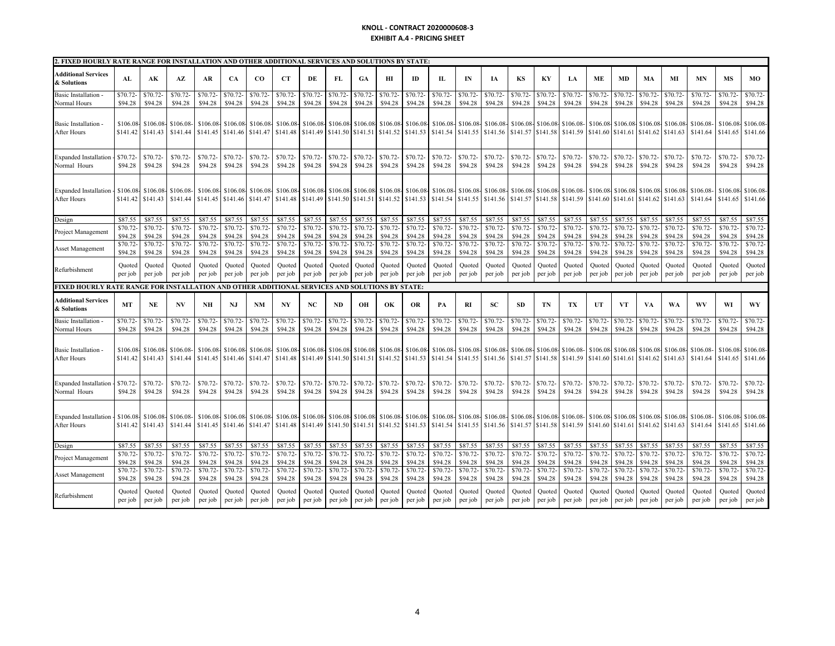#### **KNOLL ‐ CONTRACT 2020000608‐3 EXHIBIT A.4 ‐ PRICING SHEET**

| , FIXED HOURLY RATE RANGE FOR INSTALLATION AND OTHER ADDITIONAL SERVICES AND SOLUTIONS BY STATE: |                       |                      |                      |                       |                      |                       |                                                        |                                         |                               |                     |                                     |                      |                       |                      |                                        |                       |                      |                       |                      |                               |                      |                      |                       |                      |                      |
|--------------------------------------------------------------------------------------------------|-----------------------|----------------------|----------------------|-----------------------|----------------------|-----------------------|--------------------------------------------------------|-----------------------------------------|-------------------------------|---------------------|-------------------------------------|----------------------|-----------------------|----------------------|----------------------------------------|-----------------------|----------------------|-----------------------|----------------------|-------------------------------|----------------------|----------------------|-----------------------|----------------------|----------------------|
| <b>Additional Services</b><br>& Solutions                                                        | AL                    | AК                   | AZ                   | AR                    | <b>CA</b>            | $_{\rm CO}$           | <b>CT</b>                                              | DE                                      | FL                            | GA                  | Ш                                   | ID                   | IL                    | IN                   | IA                                     | KS                    | KY                   | LA                    | ME                   | MD                            | MA                   | MI                   | MN                    | <b>MS</b>            | MO                   |
| Basic Installation<br><b>Normal Hours</b>                                                        | \$70.72<br>\$94.28    | \$70.72<br>\$94.28   | \$70.72<br>\$94.28   | \$70.72<br>\$94.28    | \$70.72-<br>\$94.28  | \$70.72<br>\$94.28    | \$70.72-<br>\$94.28                                    | \$70.72<br>\$94.28                      | \$70.72<br>\$94.28            | \$70.72<br>\$94.28  | \$70.72<br>\$94.28                  | \$70.72-<br>\$94.28  | \$70.72<br>\$94.28    | \$70.72-<br>\$94.28  | \$70.72<br>\$94.28                     | \$70.72<br>\$94.28    | \$70.72-<br>\$94.28  | \$70.72<br>\$94.28    | \$70.72<br>\$94.28   | \$70.72<br>\$94.28            | \$70.72<br>\$94.28   | \$70.72-<br>\$94.28  | \$70.72<br>\$94.28    | \$70.72<br>\$94.28   | \$70.72-<br>\$94.28  |
| <b>Basic Installation</b><br>After Hours                                                         | \$106.08-<br>\$141.42 | \$106.08<br>\$141.43 | \$106.08<br>\$141.44 | \$106.08-<br>\$141.45 | \$106.08<br>\$141.46 | \$106.08-<br>\$141.47 | \$106.08-<br>\$141.48                                  | \$106.08-<br>\$141.49 \$141.50 \$141.51 | \$106.08-\$106.08-            |                     | \$106.08-<br>$$141.52$ $$141.53$    | \$106.08             | \$106.08-<br>\$141.54 | \$106.08<br>\$141.55 | \$106.08<br>\$141.56                   | \$106.08-<br>\$141.57 | \$106.08<br>\$141.58 | \$106.08-<br>\$141.59 | \$106.08<br>\$141.60 | \$106.08 \$106.08<br>\$141.61 | \$141.62             | \$106.08<br>\$141.63 | \$106.08-<br>\$141.64 | \$106.08<br>\$141.65 | \$106.08<br>\$141.66 |
| Expanded Installation<br><b>Normal Hours</b>                                                     | \$70.72-<br>\$94.28   | \$70.72<br>\$94.28   | \$70.72<br>\$94.28   | \$70.72<br>\$94.28    | \$70.72-<br>\$94.28  | \$70.72<br>\$94.28    | \$70.72-<br>\$94.28                                    | \$70.72<br>\$94.28                      | \$70.72-<br>\$94.28           | \$70.72<br>\$94.28  | \$70.72<br>\$94.28                  | \$70.72-<br>\$94.28  | \$70.72<br>\$94.28    | \$70.72-<br>\$94.28  | \$70.72<br>\$94.28                     | \$70.72<br>\$94.28    | \$70.72-<br>\$94.28  | \$70.72-<br>\$94.28   | \$70.72-<br>\$94.28  | \$70.72<br>\$94.28            | \$70.72<br>\$94.28   | \$70.72-<br>\$94.28  | \$70.72<br>\$94.28    | \$70.72-<br>\$94.28  | \$70.72-<br>\$94.28  |
| Expanded Installation<br>After Hours                                                             | \$106.08<br>\$141.42  | \$106.08<br>\$141.43 | \$106.08<br>\$141.44 | \$106.08<br>\$141.45  | \$106.08<br>\$141.46 | \$106.08-<br>\$141.47 | \$106.08-<br>\$141.48 \ \$141.49 \ \$141.50 \ \$141.51 | \$106.08-                               | \$106.08-\$106.08-            |                     | \$106.08-<br>$$141.52 \mid $141.53$ | \$106.08             | \$106.08-<br>\$141.54 | \$106.08<br>\$141.55 | \$106.08<br>\$141.56 \$141.57 \$141.58 | \$106.08-             | \$106.08             | \$106.08-<br>\$141.59 | \$106.08<br>\$141.60 | \$106.08 \$106.08<br>\$141.61 | \$141.62             | \$106.08<br>\$141.63 | \$106.08-<br>\$141.64 | \$106.08<br>\$141.65 | \$106.08<br>\$141.66 |
| Design                                                                                           | \$87.55               | \$87.55              | \$87.55              | \$87.55               | \$87.55              | \$87.55               | \$87.55                                                | \$87.55                                 | \$87.55                       | \$87.55             | \$87.55                             | \$87.55              | \$87.55               | \$87.55              | \$87.55                                | \$87.55               | \$87.55              | \$87.55               | \$87.55              | \$87.55                       | \$87.55              | \$87.55              | \$87.55               | \$87.55              | \$87.55              |
| Project Management                                                                               | \$70.72               | \$70.72              | \$70.72              | \$70.72               | \$70.72-             | \$70.72               | \$70.72                                                | \$70.72                                 | \$70.72-                      | \$70.72-            | \$70.72                             | \$70.72-             | \$70.72               | \$70.72              | \$70.72                                | \$70.72-              | \$70.72-             | \$70.72               | \$70.72-             | \$70.72                       | \$70.72              | \$70.72-             | \$70.72-              | \$70.72              | \$70.72-             |
|                                                                                                  | \$94.28<br>\$70.72    | \$94.28<br>\$70.72   | \$94.28<br>\$70.72   | \$94.28<br>\$70.72    | \$94.28<br>\$70.72-  | \$94.28<br>\$70.72    | \$94.28<br>\$70.72                                     | \$94.28<br>\$70.72                      | \$94.28<br>\$70.72-           | \$94.28<br>\$70.72  | \$94.28<br>\$70.72                  | \$94.28<br>\$70.72-  | \$94.28<br>\$70.72    | \$94.28<br>\$70.72   | \$94.28<br>\$70.72                     | \$94.28<br>\$70.72-   | \$94.28<br>\$70.72   | \$94.28<br>\$70.72    | \$94.28<br>\$70.72-  | \$94.28<br>\$70.72            | \$94.28<br>\$70.72   | \$94.28<br>\$70.72-  | \$94.28<br>\$70.72-   | \$94.28<br>\$70.72   | \$94.28<br>\$70.72-  |
| <b>Asset Managemen</b>                                                                           | \$94.28               | \$94.28              | \$94.28              | \$94.28               | \$94.28              | \$94.28               | \$94.28                                                | \$94.28                                 | \$94.28                       | \$94.28             | \$94.28                             | \$94.28              | \$94.28               | \$94.28              | \$94.28                                | \$94.28               | \$94.28              | \$94.28               | \$94.28              | \$94.28                       | \$94.28              | \$94.28              | \$94.28               | \$94.28              | \$94.28              |
| Refurbishment                                                                                    | Quoted<br>per job     | Quoted<br>per job    | Quoted<br>per job    | Quoted<br>per job     | Quoted<br>per job    | Quoted<br>per job     | Quoted<br>per job                                      | Quoted<br>per job                       | Quoted<br>per job             | Quoted<br>per job   | Quoted<br>per job                   | Quoted<br>per job    | Quoted<br>per job     | Quoted<br>per job    | Quoted<br>per job                      | Quoted<br>per job     | Quoted<br>per job    | Quoted<br>per job     | Quoted<br>per job    | Quoted<br>per job             | Quoted<br>per job    | Quoted<br>per job    | Quoted<br>per job     | Quoted<br>per job    | Quoted<br>per job    |
|                                                                                                  |                       |                      |                      |                       |                      |                       |                                                        |                                         |                               |                     |                                     |                      |                       |                      |                                        |                       |                      |                       |                      |                               |                      |                      |                       |                      |                      |
| FIXED HOURLY RATE RANGE FOR INSTALLATION AND OTHER ADDITIONAL SERVICES AND SOLUTIONS BY STATE:   |                       |                      |                      |                       |                      |                       |                                                        |                                         |                               |                     |                                     |                      |                       |                      |                                        |                       |                      |                       |                      |                               |                      |                      |                       |                      |                      |
| <b>Additional Services</b><br>& Solutions                                                        | MT                    | <b>NE</b>            | NV                   | NH                    | NJ                   | <b>NM</b>             | $\mathbf{N}\mathbf{Y}$                                 | NC                                      | <b>ND</b>                     | OH                  | OK                                  | OR                   | PA                    | RI                   | <b>SC</b>                              | <b>SD</b>             | TN                   | TX                    | UT                   | <b>VT</b>                     | VA                   | WA                   | WV                    | WI                   | WY                   |
| Basic Installation<br><b>Normal Hours</b>                                                        | \$70.72<br>\$94.28    | \$70.72<br>\$94.28   | \$70.72<br>\$94.28   | \$70.72<br>\$94.28    | \$70.72-<br>\$94.28  | \$70.72<br>\$94.28    | \$70.72-<br>\$94.28                                    | \$70.72<br>\$94.28                      | \$70.72-<br>\$94.28           | \$70.72<br>\$94.28  | \$70.72<br>\$94.28                  | \$70.72-<br>\$94.28  | \$70.72<br>\$94.28    | \$70.72-<br>\$94.28  | \$70.72<br>\$94.28                     | \$70.72-<br>\$94.28   | \$70.72-<br>\$94.28  | \$70.72<br>\$94.28    | \$70.72-<br>\$94.28  | \$70.72<br>\$94.28            | \$70.72<br>\$94.28   | \$70.72-<br>\$94.28  | \$70.72<br>\$94.28    | \$70.72<br>\$94.28   | \$70.72-<br>\$94.28  |
| Basic Installation<br>After Hours                                                                | \$106.08<br>\$141.42  | \$106.0<br>\$141.43  | \$106.08<br>\$141.44 | \$106.08<br>\$141.45  | \$106.08<br>\$141.46 | \$106.08<br>\$141.47  | \$106.08<br>\$141.48                                   | \$106.08<br>\$141.49                    | \$106.08<br>\$141.50 \$141.51 | \$106.08            | \$106.08<br>\$141.52                | \$106.08<br>\$141.53 | \$106.08<br>\$141.54  | \$106.08<br>\$141.55 | \$106.08<br>\$141.56                   | \$106.08<br>\$141.57  | \$106.08<br>\$141.58 | \$106.08<br>\$141.59  | \$106.08<br>\$141.60 | \$106.08 \$106.0<br>\$141.61  | \$141.62             | \$106.08<br>\$141.63 | \$106.08-<br>\$141.64 | \$106.08<br>\$141.65 | \$106.08<br>\$141.66 |
| Expanded Installation<br>Normal Hours                                                            | \$70.72-<br>\$94.28   | \$70.72-<br>\$94.28  | \$70.72<br>\$94.28   | \$70.72<br>\$94.28    | \$70.72-<br>\$94.28  | \$70.72<br>\$94.28    | \$70.72-<br>\$94.28                                    | \$70.72<br>\$94.28                      | \$70.72-<br>\$94.28           | \$70.72-<br>\$94.28 | \$70.72-<br>\$94.28                 | \$70.72-<br>\$94.28  | \$70.72-<br>\$94.28   | \$70.72-<br>\$94.28  | \$70.72<br>\$94.28                     | \$70.72-<br>\$94.28   | \$70.72-<br>\$94.28  | \$70.72-<br>\$94.28   | \$70.72-<br>\$94.28  | \$70.72-<br>\$94.28           | \$70.72-<br>\$94.28  | \$70.72-<br>\$94.28  | \$70.72-<br>\$94.28   | \$70.72-<br>\$94.28  | \$70.72-<br>\$94.28  |
| Expanded Installation<br>After Hours                                                             | \$106.08<br>\$141.42  | \$106.08<br>\$141.43 | \$106.08<br>\$141.44 | \$106.08<br>\$141.45  | \$106.08<br>\$141.46 | \$106.08<br>\$141.47  | \$106.08<br>\$141.48                                   | \$106.08<br>\$141.49                    | \$106.08<br>\$141.50 \$141.51 | \$106.08            | \$106.08<br>\$141.52                | \$106.08<br>\$141.53 | \$106.08<br>\$141.54  | \$106.08<br>\$141.55 | \$106.08<br>\$141.56                   | \$106.08<br>\$141.57  | \$106.08<br>\$141.58 | \$106.08<br>\$141.59  | \$106.08<br>\$141.60 | \$106.08<br>\$141.61          | \$106.08<br>\$141.62 | \$106.08<br>\$141.63 | \$106.08<br>\$141.64  | \$106.08<br>\$141.65 | \$106.08<br>\$141.66 |
| Design                                                                                           | \$87.55               | \$87.55              | \$87.55              | \$87.55               | \$87.55              | \$87.55               | \$87.55                                                | \$87.55                                 | \$87.55                       | \$87.55             | \$87.55                             | \$87.55              | \$87.55               | \$87.55              | \$87.55                                | \$87.55               | \$87.55              | \$87.55               | \$87.55              | \$87.55                       | \$87.55              | \$87.55              | \$87.55               | \$87.55              | \$87.55              |
| Project Management                                                                               | \$70.72-              | \$70.72              | \$70.72              | \$70.72               | \$70.72-             | \$70.72               | \$70.72-                                               | \$70.72                                 | \$70.72-                      | \$70.72-            | \$70.72                             | \$70.72-             | \$70.72               | \$70.72-             | \$70.72                                | \$70.72-              | \$70.72-             | \$70.72               | \$70.72-             | \$70.72                       | \$70.72              | \$70.72-             | \$70.72-              | \$70.72              | \$70.72-             |
|                                                                                                  | \$94.28               | \$94.28              | \$94.28              | \$94.28               | \$94.28              | \$94.28               | \$94.28                                                | \$94.28                                 | \$94.28                       | \$94.28             | \$94.28                             | \$94.28              | \$94.28               | \$94.28              | \$94.28                                | \$94.28               | \$94.28              | \$94.28               | \$94.28              | \$94.28                       | \$94.28              | \$94.28              | \$94.28               | \$94.28              | \$94.28              |
| Asset Managemen                                                                                  | \$70.72<br>\$94.28    | \$70.72<br>\$94.28   | \$70.72<br>\$94.28   | \$70.72<br>\$94.28    | \$70.72-<br>\$94.28  | \$70.72<br>\$94.28    | \$70.72-<br>\$94.28                                    | \$70.72<br>\$94.28                      | \$70.72-<br>\$94.28           | \$70.72<br>\$94.28  | \$70.72<br>\$94.28                  | \$70.72-<br>\$94.28  | \$70.72<br>\$94.28    | \$70.72<br>\$94.28   | \$70.72<br>\$94.28                     | \$70.72-<br>\$94.28   | \$70.72<br>\$94.28   | \$70.72<br>\$94.28    | \$70.72<br>\$94.28   | \$70.72<br>\$94.28            | \$70.72<br>\$94.28   | \$70.72-<br>\$94.28  | \$70.72-<br>\$94.28   | \$70.72<br>\$94.28   | \$70.72-<br>\$94.28  |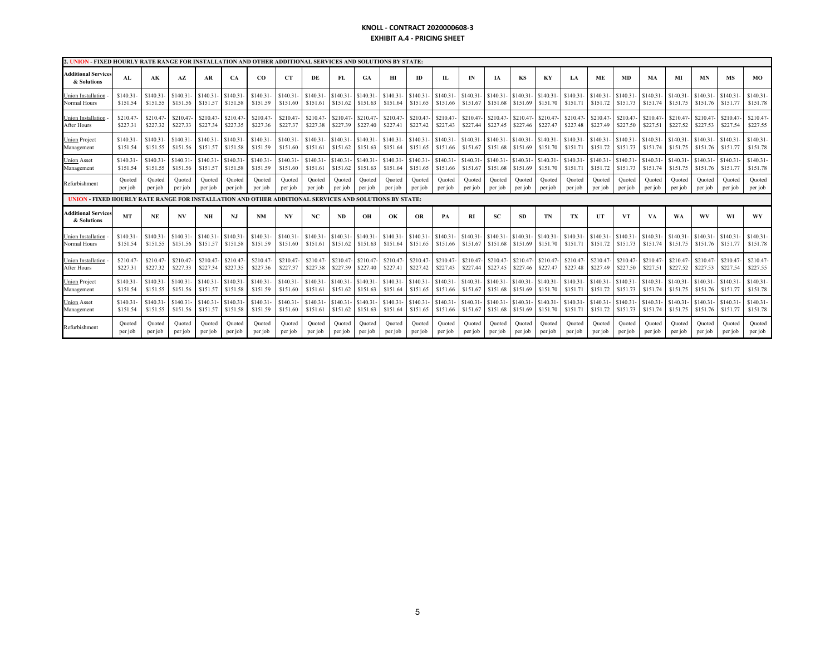#### **KNOLL ‐ CONTRACT 2020000608‐3 EXHIBIT A.4 ‐ PRICING SHEET**

| 2. UNION - FIXED HOURLY RATE RANGE FOR INSTALLATION AND OTHER ADDITIONAL SERVICES AND SOLUTIONS BY STATE: |          |          |           |          |             |          |          |           |          |           |          |           |           |           |            |            |           |          |           |          |          |           |           |          |            |
|-----------------------------------------------------------------------------------------------------------|----------|----------|-----------|----------|-------------|----------|----------|-----------|----------|-----------|----------|-----------|-----------|-----------|------------|------------|-----------|----------|-----------|----------|----------|-----------|-----------|----------|------------|
| <b>Additional Services</b><br>& Solutions                                                                 | AL       | AK       | AZ        | AR       | CA          | CO.      | CT.      | DE        | FL.      | <b>GA</b> | HІ       | ID        | IL        | IN        |            | KS         | KY        | LA       | <b>ME</b> | MD       | MA       | MI        | MN        | MS       | <b>MO</b>  |
| Jnion Installation                                                                                        | \$140.31 | \$140.31 | \$140.31  | \$140.31 | \$140.31    | \$140.31 | \$140.31 | \$140.31  | \$140.31 | \$140.31  | \$140.31 | \$140.31  | \$140.31- | \$140.31  | \$140.31   | \$140.31   | S140.31   | \$140.31 | \$140.31  | \$140.31 | \$140.31 | \$140.31  | \$140.31  | \$140.31 | $$140.31-$ |
| Normal Hours                                                                                              | \$151.54 | \$151.55 | \$151.56  | \$151.57 | \$151.58    | \$151.59 | \$151.60 | \$151.61  | \$151.62 | \$151.63  | \$151.64 | \$151.65  | \$151.66  | \$151.67  | \$151.68   | \$151.69   | \$151.70  | \$151.71 | \$151.72  | \$151.73 | \$151.74 | \$151.75  | \$151.76  | \$151.77 | \$151.78   |
| Inion Installation                                                                                        | \$210.47 | \$210.47 | \$210.47- | \$210.47 | \$210.47    | \$210.47 | \$210.47 | \$210.47  | \$210.47 | \$210.47  | \$210.47 | \$210.47  | \$210.47  | \$210.47  | \$210.47   | $$210.47-$ | \$210.47  | \$210.47 | \$210.47- | \$210.47 | \$210.47 | \$210.47  | \$210.47- | \$210.4  | \$210.47-  |
| After Hours                                                                                               | \$227.31 | \$227.32 | \$227.33  | \$227.34 | \$227.35    | \$227.36 | \$227.37 | \$227.38  | \$227.39 | \$227.40  | \$227.41 | \$227.42  | \$227.43  | \$227.44  | \$227.45   | \$227.46   | \$227.47  | \$227.48 | \$227.49  | \$227.50 | \$227.51 | \$227.52  | \$227.53  | \$227.54 | \$227.55   |
| Jnion Project                                                                                             | \$140.31 | \$140.31 | \$140.31  | \$140.31 | \$140.31    | \$140.31 | \$140.31 | \$140.31  | \$140.31 | \$140.31  | \$140.31 | \$140.31  | \$140.31  | \$140.31  | \$140.31   | \$140.31   | \$140.31  | \$140.31 | \$140.31  | \$140.31 | \$140.31 | \$140.31  | \$140.31  | \$140.31 | \$140.31   |
| Management                                                                                                | \$151.54 | \$151.55 | \$151.56  | \$151.57 | \$151.58    | \$151.59 | \$151.60 | \$151.61  | \$151.62 | \$151.63  | \$151.64 | \$151.65  | \$151.66  | \$151.67  | \$151.68   | \$151.69   | \$151.70  | \$151.71 | \$151.72  | \$151.73 | \$151.74 | \$151.75  | \$151.76  | \$151.77 | \$151.78   |
| <b>Union Asset</b>                                                                                        | \$140.31 | \$140.31 | \$140.31  | \$140.31 | \$140.31    | \$140.31 | \$140.31 | \$140.31  | \$140.31 | \$140.31  | \$140.31 | \$140.31  | \$140.31  | \$140.31  | \$140.31   | \$140.31   | \$140.31  | \$140.31 | \$140.31  | \$140.31 | \$140.31 | \$140.31  | \$140.31  | \$140.31 | $$140.31-$ |
| Management                                                                                                | \$151.54 | \$151.55 | \$151.56  | \$151.57 | \$151.58    | \$151.59 | \$151.60 | \$151.61  | \$151.62 | \$151.63  | \$151.64 | \$151.65  | \$151.66  | \$151.67  | \$151.68   | \$151.69   | \$151.70  | \$151.71 | \$151.72  | \$151.73 | \$151.74 | \$151.75  | \$151.76  | \$151.77 | \$151.78   |
| Refurbishment                                                                                             | Quoted   | Ouoted   | Quoted    | Ouoted   | Quoted      | Ouoted   | Ouoted   | Quoted    | Ouoted   | Quoted    | Ouoted   | Quoted    | Ouoted    | Ouoted    | Ouoted     | Ouoted     | Ouoted    | Ouoted   | Ouoted    | Ouoted   | Ouoted   | Quoted    | Ouoted    | Ouoted   | Ouoted     |
|                                                                                                           | per job  | per job  | per job   | per job  | per job     | per job  | per job  | per job   | per job  | per job   | per job  | per job   | per job   | per job   | per job    | per job    | per job   | per job  | per job   | per job  | per job  | per job   | per job   | per job  | per job    |
| UNION - FIXED HOURLY RATE RANGE FOR INSTALLATION AND OTHER ADDITIONAL SERVICES AND SOLUTIONS BY STATE:    |          |          |           |          |             |          |          |           |          |           |          |           |           |           |            |            |           |          |           |          |          |           |           |          |            |
| <b>Additional Services</b><br>& Solutions                                                                 | MT       | NE       | <b>NV</b> | NH       | $N_{\rm J}$ | NM       | NY       | NC.       | ND.      | OH        | OК       | OR        | PA        | <b>RI</b> | SC.        | <b>SD</b>  | TN        | TX       | UT        | VT       | VA       | <b>WA</b> | WV        | WI       | WY         |
| Jnion Installation                                                                                        | \$140.31 | \$140.31 | \$140.31  | \$140.31 | \$140.31    | \$140.31 | \$140.31 | \$140.31  | \$140.31 | \$140.31  | \$140.31 | \$140.31  | \$140.31  | \$140.31  | $$140.31-$ | \$140.31   | \$140.31  | \$140.31 | \$140.31  | \$140.31 | \$140.31 | \$140.31  | \$140.31  | \$140.31 | \$140.31   |
| Normal Hours                                                                                              | \$151.54 | \$151.55 | \$151.56  | \$151.57 | \$151.58    | \$151.59 | \$151.60 | \$151.61  | \$151.62 | \$151.63  | \$151.64 | \$151.65  | \$151.66  | \$151.67  | \$151.68   | \$151.69   | \$151.70  | \$151.71 | \$151.72  | \$151.73 | \$151.74 | \$151.75  | \$151.76  | \$151.77 | \$151.78   |
| <b>Jnion Installation</b>                                                                                 | \$210.47 | \$210.47 | \$210.47- | \$210.47 | \$210.47    | \$210.47 | \$210.47 | \$210.47- | \$210.47 | \$210.47  | \$210.47 | \$210.47- | \$210.47  | \$210.47  | \$210.47   | \$210.47-  | \$210.47- | \$210.47 | \$210.47- | \$210.47 | \$210.47 | \$210.47  | \$210.47- | \$210.47 | \$210.47-  |
| After Hours                                                                                               | \$227.31 | \$227.32 | \$227.33  | \$227.34 | \$227.35    | \$227.36 | \$227.37 | \$227.38  | \$227.39 | \$227.40  | \$227.41 | \$227.42  | \$227.43  | \$227.44  | \$227.45   | \$227.46   | \$227.47  | \$227.48 | \$227.49  | \$227.50 | \$227.51 | \$227.52  | \$227.53  | \$227.54 | \$227.55   |
| <b>Union Project</b>                                                                                      | \$140.31 | \$140.31 | \$140.31  | \$140.31 | \$140.31    | \$140.31 | \$140.31 | \$140.31  | \$140.31 | \$140.31  | \$140.31 | \$140.31  | \$140.31  | \$140.31  | \$140.31   | \$140.31   | \$140.31  | \$140.31 | \$140.31  | \$140.31 | \$140.31 | \$140.31  | \$140.31  | \$140.31 | \$140.31   |
| Management                                                                                                | \$151.54 | \$151.55 | \$151.56  | \$151.57 | \$151.58    | \$151.59 | \$151.60 | \$151.61  | \$151.62 | \$151.63  | \$151.64 | \$151.65  | \$151.66  | \$151.67  | \$151.68   | \$151.69   | \$151.70  | \$151.71 | \$151.72  | \$151.73 | \$151.74 | \$151.75  | \$151.76  | \$151.77 | \$151.78   |
| Jnion Asset                                                                                               | \$140.31 | \$140.31 | \$140.31  | \$140.31 | \$140.31    | \$140.31 | \$140.31 | \$140.31  | \$140.31 | \$140.31  | \$140.31 | \$140.31  | \$140.31  | \$140.31  | \$140.31   | \$140.31   | \$140.31  | \$140.31 | \$140.31  | \$140.31 | \$140.31 | \$140.31  | \$140.31  | \$140.31 | \$140.31   |
| Management                                                                                                | \$151.54 | \$151.55 | \$151.56  | \$151.57 | \$151.58    | \$151.59 | \$151.60 | \$151.61  | \$151.62 | \$151.63  | \$151.64 | \$151.65  | \$151.66  | \$151.67  | \$151.68   | \$151.69   | \$151.70  | \$151.71 | \$151.72  | \$151.73 | \$151.74 | \$151.75  | \$151.76  | \$151.77 | \$151.78   |
| Refurbishment                                                                                             | Quoted   | Ouoted   | Quoted    | Quoted   | Quoted      | Ouoted   | Ouoted   | Quoted    | Ouoted   | Quoted    | Ouoted   | Quoted    | Quoted    | Ouoted    | Ouoted     | Ouoted     | Ouoted    | Ouoted   | Ouoted    | Ouoted   | Quoted   | Ouoted    | Ouoted    | Quoted   | Quoted     |
|                                                                                                           | per job  | per job  | per job   | per job  | per job     | per job  | per job  | per job   | per job  | per job   | per job  | per job   | per job   | per job   | per job    | per job    | per job   | per job  | per job   | per job  | per job  | per job   | per job   | per job  | per job    |